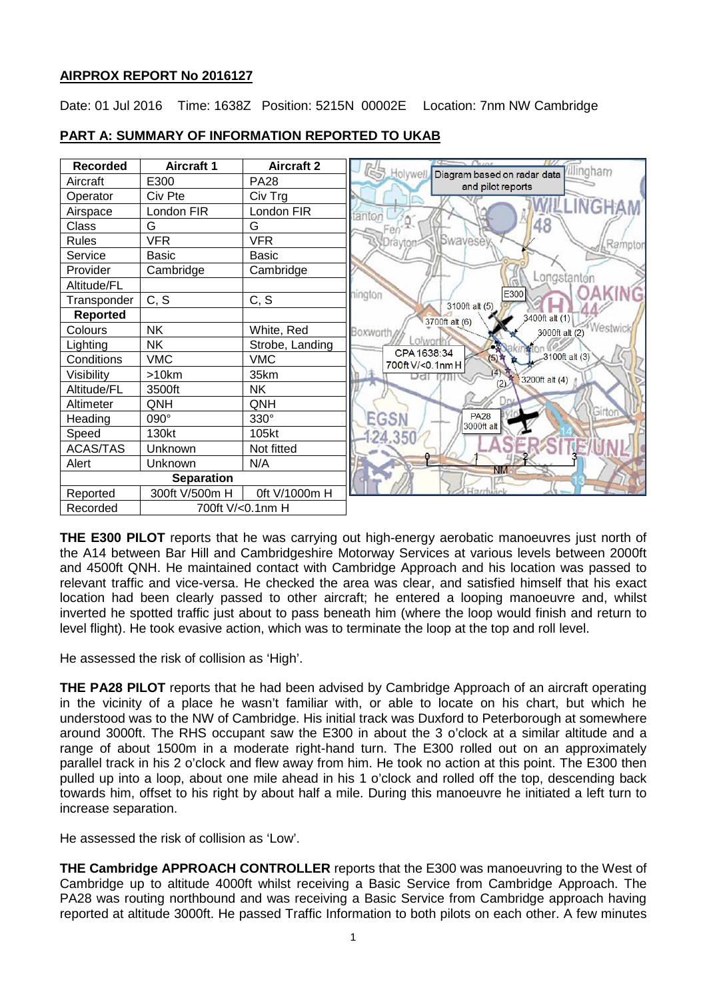# **AIRPROX REPORT No 2016127**

Date: 01 Jul 2016 Time: 1638Z Position: 5215N 00002E Location: 7nm NW Cambridge



# **PART A: SUMMARY OF INFORMATION REPORTED TO UKAB**

**THE E300 PILOT** reports that he was carrying out high-energy aerobatic manoeuvres just north of the A14 between Bar Hill and Cambridgeshire Motorway Services at various levels between 2000ft and 4500ft QNH. He maintained contact with Cambridge Approach and his location was passed to relevant traffic and vice-versa. He checked the area was clear, and satisfied himself that his exact location had been clearly passed to other aircraft; he entered a looping manoeuvre and, whilst inverted he spotted traffic just about to pass beneath him (where the loop would finish and return to level flight). He took evasive action, which was to terminate the loop at the top and roll level.

He assessed the risk of collision as 'High'.

**THE PA28 PILOT** reports that he had been advised by Cambridge Approach of an aircraft operating in the vicinity of a place he wasn't familiar with, or able to locate on his chart, but which he understood was to the NW of Cambridge. His initial track was Duxford to Peterborough at somewhere around 3000ft. The RHS occupant saw the E300 in about the 3 o'clock at a similar altitude and a range of about 1500m in a moderate right-hand turn. The E300 rolled out on an approximately parallel track in his 2 o'clock and flew away from him. He took no action at this point. The E300 then pulled up into a loop, about one mile ahead in his 1 o'clock and rolled off the top, descending back towards him, offset to his right by about half a mile. During this manoeuvre he initiated a left turn to increase separation.

He assessed the risk of collision as 'Low'.

**THE Cambridge APPROACH CONTROLLER** reports that the E300 was manoeuvring to the West of Cambridge up to altitude 4000ft whilst receiving a Basic Service from Cambridge Approach. The PA28 was routing northbound and was receiving a Basic Service from Cambridge approach having reported at altitude 3000ft. He passed Traffic Information to both pilots on each other. A few minutes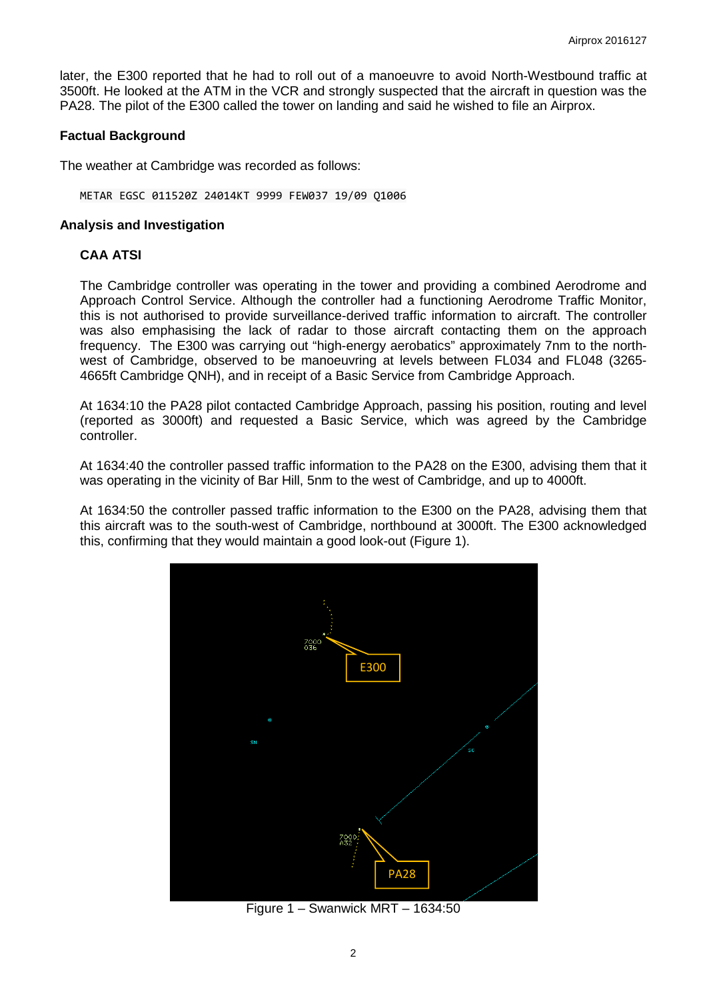later, the E300 reported that he had to roll out of a manoeuvre to avoid North-Westbound traffic at 3500ft. He looked at the ATM in the VCR and strongly suspected that the aircraft in question was the PA28. The pilot of the E300 called the tower on landing and said he wished to file an Airprox.

#### **Factual Background**

The weather at Cambridge was recorded as follows:

METAR EGSC 011520Z 24014KT 9999 FEW037 19/09 Q1006

#### **Analysis and Investigation**

### **CAA ATSI**

The Cambridge controller was operating in the tower and providing a combined Aerodrome and Approach Control Service. Although the controller had a functioning Aerodrome Traffic Monitor, this is not authorised to provide surveillance-derived traffic information to aircraft. The controller was also emphasising the lack of radar to those aircraft contacting them on the approach frequency. The E300 was carrying out "high-energy aerobatics" approximately 7nm to the northwest of Cambridge, observed to be manoeuvring at levels between FL034 and FL048 (3265- 4665ft Cambridge QNH), and in receipt of a Basic Service from Cambridge Approach.

At 1634:10 the PA28 pilot contacted Cambridge Approach, passing his position, routing and level (reported as 3000ft) and requested a Basic Service, which was agreed by the Cambridge controller.

At 1634:40 the controller passed traffic information to the PA28 on the E300, advising them that it was operating in the vicinity of Bar Hill, 5nm to the west of Cambridge, and up to 4000ft.

At 1634:50 the controller passed traffic information to the E300 on the PA28, advising them that this aircraft was to the south-west of Cambridge, northbound at 3000ft. The E300 acknowledged this, confirming that they would maintain a good look-out (Figure 1).



Figure 1 – Swanwick MRT – 1634:50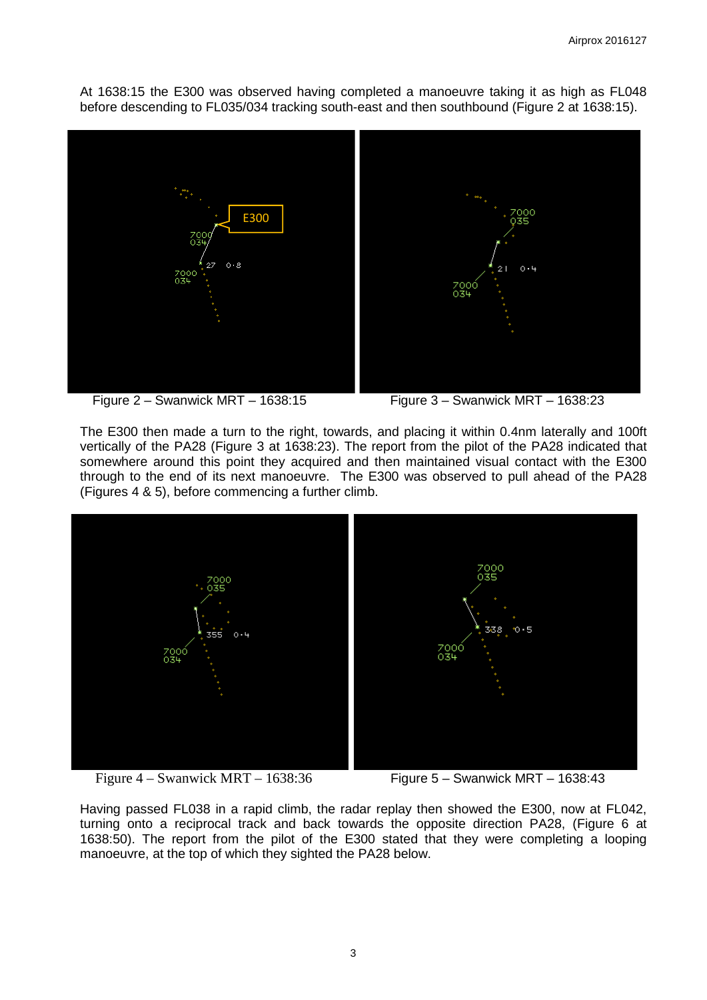At 1638:15 the E300 was observed having completed a manoeuvre taking it as high as FL048 before descending to FL035/034 tracking south-east and then southbound (Figure 2 at 1638:15).



Figure 2 – Swanwick MRT – 1638:15 Figure 3 – Swanwick MRT – 1638:23

The E300 then made a turn to the right, towards, and placing it within 0.4nm laterally and 100ft vertically of the PA28 (Figure 3 at 1638:23). The report from the pilot of the PA28 indicated that somewhere around this point they acquired and then maintained visual contact with the E300 through to the end of its next manoeuvre. The E300 was observed to pull ahead of the PA28 (Figures 4 & 5), before commencing a further climb.



Figure 4 – Swanwick MRT – 1638:36 Figure 5 – Swanwick MRT – 1638:43

Having passed FL038 in a rapid climb, the radar replay then showed the E300, now at FL042, turning onto a reciprocal track and back towards the opposite direction PA28, (Figure 6 at 1638:50). The report from the pilot of the E300 stated that they were completing a looping manoeuvre, at the top of which they sighted the PA28 below.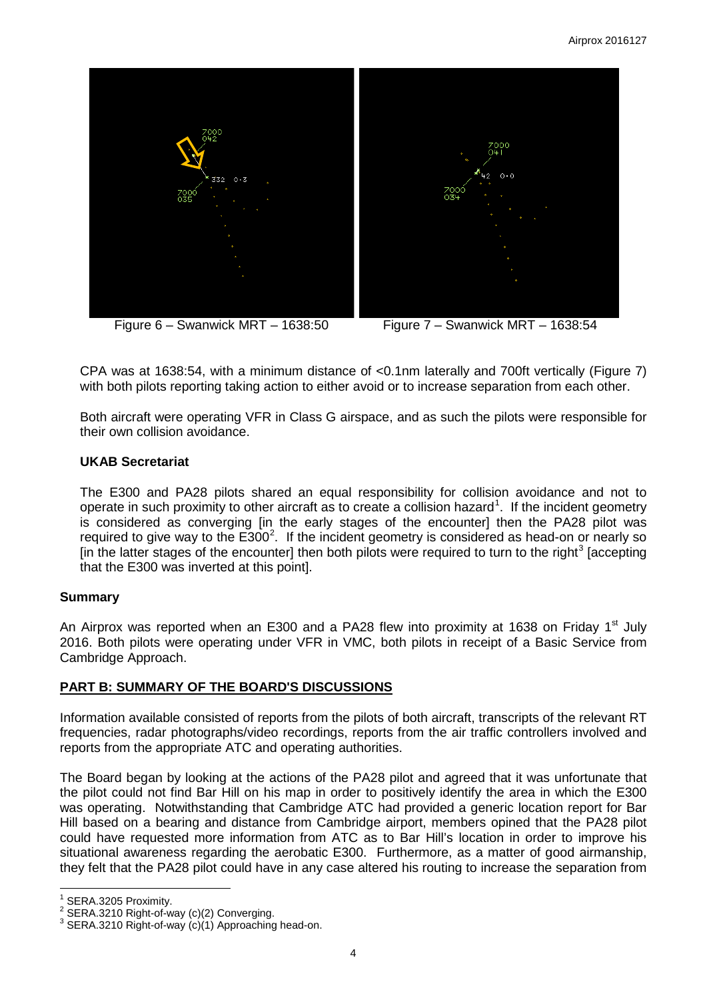



CPA was at 1638:54, with a minimum distance of <0.1nm laterally and 700ft vertically (Figure 7) with both pilots reporting taking action to either avoid or to increase separation from each other.

Both aircraft were operating VFR in Class G airspace, and as such the pilots were responsible for their own collision avoidance.

### **UKAB Secretariat**

The E300 and PA28 pilots shared an equal responsibility for collision avoidance and not to operate in such proximity to other aircraft as to create a collision hazard<sup>[1](#page-3-0)</sup>. If the incident geometry is considered as converging [in the early stages of the encounter] then the PA28 pilot was required to give way to the  $E300^2$  $E300^2$ . If the incident geometry is considered as head-on or nearly so [in the latter stages of the encounter] then both pilots were required to turn to the right<sup>[3](#page-3-2)</sup> [accepting] that the E300 was inverted at this point].

## **Summary**

An Airprox was reported when an E300 and a PA28 flew into proximity at 1638 on Friday 1<sup>st</sup> July 2016. Both pilots were operating under VFR in VMC, both pilots in receipt of a Basic Service from Cambridge Approach.

## **PART B: SUMMARY OF THE BOARD'S DISCUSSIONS**

Information available consisted of reports from the pilots of both aircraft, transcripts of the relevant RT frequencies, radar photographs/video recordings, reports from the air traffic controllers involved and reports from the appropriate ATC and operating authorities.

The Board began by looking at the actions of the PA28 pilot and agreed that it was unfortunate that the pilot could not find Bar Hill on his map in order to positively identify the area in which the E300 was operating. Notwithstanding that Cambridge ATC had provided a generic location report for Bar Hill based on a bearing and distance from Cambridge airport, members opined that the PA28 pilot could have requested more information from ATC as to Bar Hill's location in order to improve his situational awareness regarding the aerobatic E300. Furthermore, as a matter of good airmanship, they felt that the PA28 pilot could have in any case altered his routing to increase the separation from

<span id="page-3-2"></span><span id="page-3-1"></span>

<span id="page-3-0"></span><sup>&</sup>lt;sup>1</sup> SERA.3205 Proximity.<br><sup>2</sup> SERA.3210 Right-of-way (c)(2) Converging.<br><sup>3</sup> SERA.3210 Right-of-way (c)(1) Approaching head-on.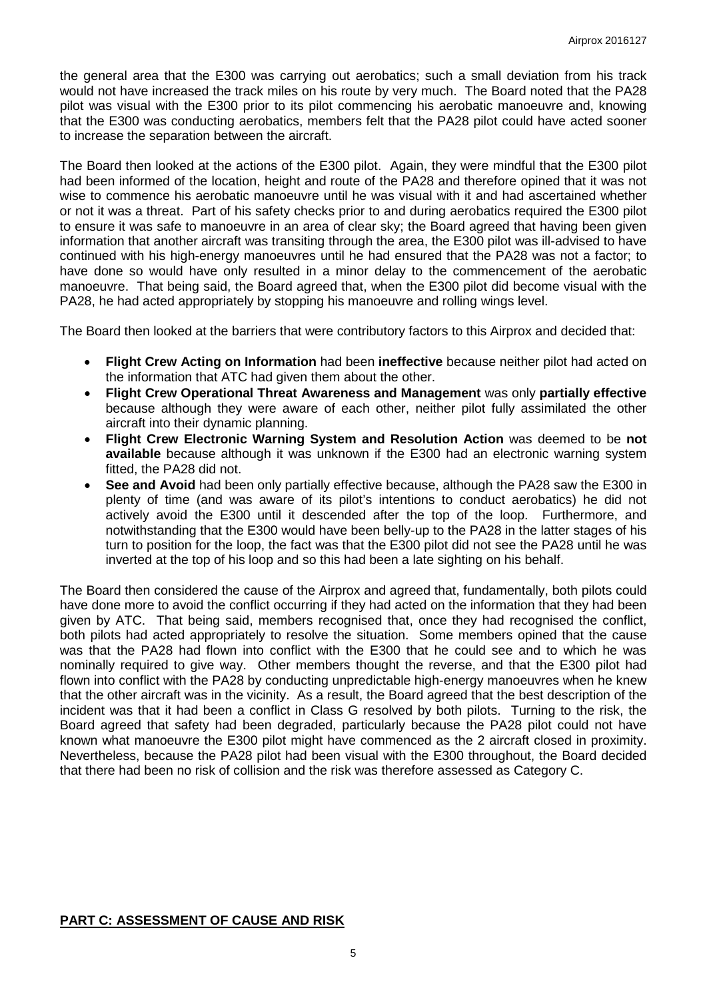the general area that the E300 was carrying out aerobatics; such a small deviation from his track would not have increased the track miles on his route by very much. The Board noted that the PA28 pilot was visual with the E300 prior to its pilot commencing his aerobatic manoeuvre and, knowing that the E300 was conducting aerobatics, members felt that the PA28 pilot could have acted sooner to increase the separation between the aircraft.

The Board then looked at the actions of the E300 pilot. Again, they were mindful that the E300 pilot had been informed of the location, height and route of the PA28 and therefore opined that it was not wise to commence his aerobatic manoeuvre until he was visual with it and had ascertained whether or not it was a threat. Part of his safety checks prior to and during aerobatics required the E300 pilot to ensure it was safe to manoeuvre in an area of clear sky; the Board agreed that having been given information that another aircraft was transiting through the area, the E300 pilot was ill-advised to have continued with his high-energy manoeuvres until he had ensured that the PA28 was not a factor; to have done so would have only resulted in a minor delay to the commencement of the aerobatic manoeuvre. That being said, the Board agreed that, when the E300 pilot did become visual with the PA28, he had acted appropriately by stopping his manoeuvre and rolling wings level.

The Board then looked at the barriers that were contributory factors to this Airprox and decided that:

- **Flight Crew Acting on Information** had been **ineffective** because neither pilot had acted on the information that ATC had given them about the other.
- **Flight Crew Operational Threat Awareness and Management** was only **partially effective** because although they were aware of each other, neither pilot fully assimilated the other aircraft into their dynamic planning.
- **Flight Crew Electronic Warning System and Resolution Action** was deemed to be **not available** because although it was unknown if the E300 had an electronic warning system fitted, the PA28 did not.
- **See and Avoid** had been only partially effective because, although the PA28 saw the E300 in plenty of time (and was aware of its pilot's intentions to conduct aerobatics) he did not actively avoid the E300 until it descended after the top of the loop. Furthermore, and notwithstanding that the E300 would have been belly-up to the PA28 in the latter stages of his turn to position for the loop, the fact was that the E300 pilot did not see the PA28 until he was inverted at the top of his loop and so this had been a late sighting on his behalf.

The Board then considered the cause of the Airprox and agreed that, fundamentally, both pilots could have done more to avoid the conflict occurring if they had acted on the information that they had been given by ATC. That being said, members recognised that, once they had recognised the conflict, both pilots had acted appropriately to resolve the situation. Some members opined that the cause was that the PA28 had flown into conflict with the E300 that he could see and to which he was nominally required to give way. Other members thought the reverse, and that the E300 pilot had flown into conflict with the PA28 by conducting unpredictable high-energy manoeuvres when he knew that the other aircraft was in the vicinity. As a result, the Board agreed that the best description of the incident was that it had been a conflict in Class G resolved by both pilots. Turning to the risk, the Board agreed that safety had been degraded, particularly because the PA28 pilot could not have known what manoeuvre the E300 pilot might have commenced as the 2 aircraft closed in proximity. Nevertheless, because the PA28 pilot had been visual with the E300 throughout, the Board decided that there had been no risk of collision and the risk was therefore assessed as Category C.

## **PART C: ASSESSMENT OF CAUSE AND RISK**